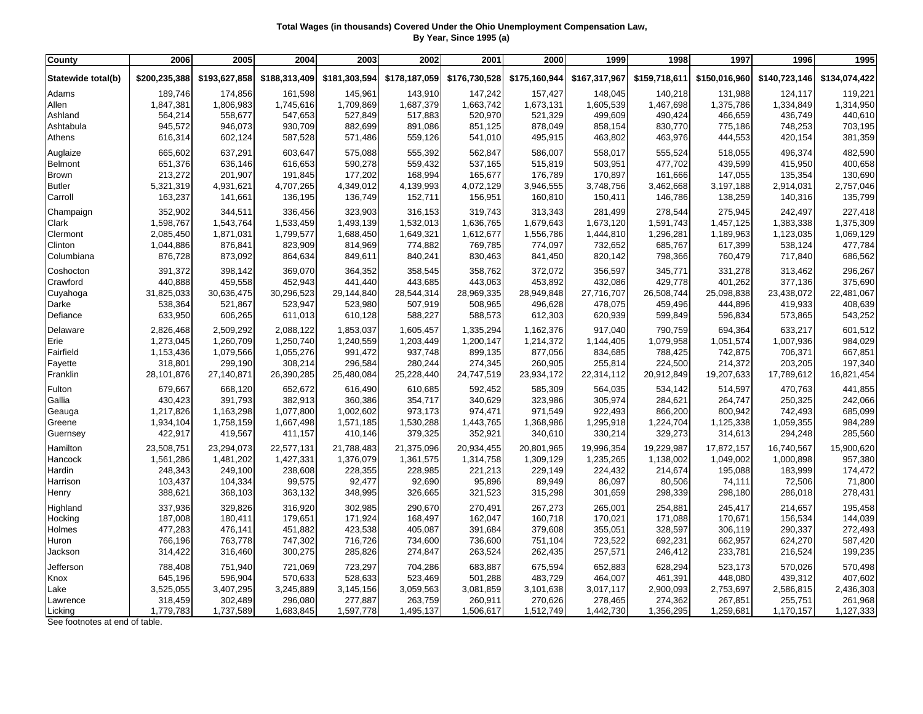## **Total Wages (in thousands) Covered Under the Ohio Unemployment Compensation Law, By Year, Since 1995 (a)**

| County             | 2006          | 2005          | 2004          | 2003          | 2002          | 2001          | 2000          | 1999          | 1998          | 1997          | 1996          | 1995          |
|--------------------|---------------|---------------|---------------|---------------|---------------|---------------|---------------|---------------|---------------|---------------|---------------|---------------|
| Statewide total(b) | \$200,235,388 | \$193,627,858 | \$188,313,409 | \$181,303,594 | \$178,187,059 | \$176,730,528 | \$175,160,944 | \$167,317,967 | \$159,718,611 | \$150,016,960 | \$140,723,146 | \$134,074,422 |
| Adams              | 189,746       | 174,856       | 161,598       | 145,961       | 143,910       | 147,242       | 157,427       | 148,045       | 140,218       | 131,988       | 124,117       | 119,221       |
| Allen              | 1,847,381     | 1,806,983     | 1,745,616     | 1,709,869     | 1,687,379     | 1,663,742     | 1,673,131     | 1,605,539     | 1,467,698     | 1,375,786     | 1,334,849     | 1,314,950     |
| Ashland            | 564,214       | 558,677       | 547,653       | 527,849       | 517,883       | 520,970       | 521,329       | 499,609       | 490,424       | 466,659       | 436,749       | 440,610       |
| Ashtabula          | 945,572       | 946,073       | 930,709       | 882,699       | 891,086       | 851,125       | 878,049       | 858,154       | 830,770       | 775,186       | 748,253       | 703,195       |
| Athens             | 616,314       | 602,124       | 587,528       | 571,486       | 559,126       | 541,010       | 495,915       | 463,802       | 463,976       | 444,553       | 420,154       | 381,359       |
| Auglaize           | 665,602       | 637,291       | 603,647       | 575,088       | 555,392       | 562,847       | 586,007       | 558,017       | 555,524       | 518,055       | 496,374       | 482,590       |
| Belmont            | 651,376       | 636,146       | 616,653       | 590,278       | 559,432       | 537,165       | 515,819       | 503,951       | 477,702       | 439,599       | 415,950       | 400,658       |
| <b>Brown</b>       | 213,272       | 201,907       | 191,845       | 177,202       | 168,994       | 165,677       | 176,789       | 170,897       | 161,666       | 147,055       | 135,354       | 130,690       |
| <b>Butler</b>      | 5,321,319     | 4,931,621     | 4,707,265     | 4,349,012     | 4,139,993     | 4,072,129     | 3,946,555     | 3,748,756     | 3,462,668     | 3,197,188     | 2,914,031     | 2,757,046     |
| Carroll            | 163,237       | 141,661       | 136,195       | 136,749       | 152,711       | 156,951       | 160,810       | 150,411       | 146,786       | 138,259       | 140,316       | 135,799       |
| Champaign          | 352,902       | 344,511       | 336,456       | 323,903       | 316,153       | 319,743       | 313,343       | 281,499       | 278,544       | 275,945       | 242,497       | 227,418       |
| Clark              | 1,598,767     | 1,543,764     | 1,533,459     | 1,493,139     | 1,532,013     | 1,636,765     | 1,679,643     | 1,673,120     | 1,591,743     | 1,457,125     | 1,383,338     | 1,375,309     |
| Clermont           | 2,085,450     | 1,871,031     | 1,799,577     | 1,688,450     | 1,649,321     | 1,612,677     | 1,556,786     | 1,444,810     | 1,296,281     | 1,189,963     | 1,123,035     | 1,069,129     |
| Clinton            | 1,044,886     | 876,841       | 823,909       | 814,969       | 774,882       | 769,785       | 774,097       | 732,652       | 685,767       | 617,399       | 538,124       | 477,784       |
| Columbiana         | 876,728       | 873,092       | 864,634       | 849,611       | 840,241       | 830,463       | 841,450       | 820,142       | 798,366       | 760,479       | 717,840       | 686,562       |
| Coshocton          | 391,372       | 398,142       | 369,070       | 364,352       | 358,545       | 358,762       | 372,072       | 356,597       | 345,771       | 331,278       | 313,462       | 296,267       |
| Crawford           | 440,888       | 459,558       | 452,943       | 441,440       | 443,685       | 443,063       | 453,892       | 432,086       | 429,778       | 401,262       | 377,136       | 375,690       |
| Cuyahoga           | 31,825,033    | 30,636,475    | 30,296,523    | 29,144,840    | 28,544,314    | 28,969,335    | 28,949,848    | 27,716,707    | 26,508,744    | 25,098,838    | 23,438,072    | 22,481,067    |
| Darke              | 538,364       | 521,867       | 523,947       | 523,980       | 507,919       | 508,965       | 496,628       | 478,075       | 459,496       | 444,896       | 419,933       | 408,639       |
| Defiance           | 633,950       | 606,265       | 611,013       | 610,128       | 588,227       | 588,573       | 612,303       | 620,939       | 599,849       | 596,834       | 573,865       | 543,252       |
| Delaware           | 2,826,468     | 2,509,292     | 2,088,122     | 1,853,037     | 1,605,457     | 1,335,294     | 1,162,376     | 917,040       | 790,759       | 694,364       | 633,217       | 601,512       |
| Erie               | 1,273,045     | 1,260,709     | 1,250,740     | 1,240,559     | 1,203,449     | 1,200,147     | 1,214,372     | 1,144,405     | 1,079,958     | 1,051,574     | 1,007,936     | 984,029       |
| Fairfield          | 1,153,436     | 1,079,566     | 1,055,276     | 991,472       | 937,748       | 899,135       | 877,056       | 834,685       | 788,425       | 742,875       | 706,371       | 667,851       |
| Fayette            | 318,801       | 299,190       | 308,214       | 296,584       | 280,244       | 274,345       | 260,905       | 255,814       | 224,500       | 214,372       | 203,205       | 197,340       |
| Franklin           | 28,101,876    | 27,140,871    | 26,390,285    | 25,480,084    | 25,228,440    | 24,747,519    | 23,934,172    | 22,314,112    | 20,912,849    | 19,207,633    | 17,789,612    | 16,821,454    |
| Fulton             | 679,667       | 668,120       | 652,672       | 616,490       | 610,685       | 592,452       | 585,309       | 564,035       | 534,142       | 514,597       | 470,763       | 441,855       |
| Gallia             | 430,423       | 391,793       | 382,913       | 360,386       | 354,717       | 340,629       | 323,986       | 305,974       | 284,621       | 264,747       | 250,325       | 242,066       |
| Geauga             | 1,217,826     | 1,163,298     | 1,077,800     | 1,002,602     | 973,173       | 974,471       | 971,549       | 922,493       | 866,200       | 800,942       | 742,493       | 685,099       |
| Greene             | 1,934,104     | 1,758,159     | 1,667,498     | 1,571,185     | 1,530,288     | 1,443,765     | 1,368,986     | 1,295,918     | 1,224,704     | 1,125,338     | 1,059,355     | 984,289       |
| Guernsey           | 422,917       | 419,567       | 411,157       | 410,146       | 379,325       | 352,921       | 340,610       | 330,214       | 329,273       | 314,613       | 294,248       | 285,560       |
| Hamilton           | 23,508,751    | 23,294,073    | 22,577,131    | 21,788,483    | 21,375,096    | 20,934,455    | 20,801,965    | 19,996,354    | 19,229,987    | 17,872,157    | 16,740,567    | 15,900,620    |
| Hancock            | 1,561,286     | 1,481,202     | 1,427,331     | 1,376,079     | 1,361,575     | 1,314,758     | 1,309,129     | 1,235,265     | 1,138,002     | 1,049,002     | 1,000,898     | 957,380       |
| Hardin             | 248,343       | 249,100       | 238,608       | 228,355       | 228,985       | 221,213       | 229,149       | 224,432       | 214,674       | 195,088       | 183,999       | 174,472       |
| Harrison           | 103,437       | 104,334       | 99,575        | 92,477        | 92,690        | 95,896        | 89,949        | 86,097        | 80,506        | 74,111        | 72,506        | 71,800        |
| Henry              | 388,621       | 368,103       | 363,132       | 348,995       | 326,665       | 321,523       | 315,298       | 301,659       | 298,339       | 298,180       | 286,018       | 278,431       |
| Highland           | 337,936       | 329,826       | 316,920       | 302,985       | 290,670       | 270,491       | 267,273       | 265,001       | 254,881       | 245,417       | 214,657       | 195,458       |
| Hocking            | 187,008       | 180,411       | 179,651       | 171,924       | 168,497       | 162,047       | 160,718       | 170,021       | 171,088       | 170,671       | 156,534       | 144,039       |
| Holmes             | 477,283       | 476,141       | 451,882       | 423,538       | 405,087       | 391,684       | 379,608       | 355,051       | 328,597       | 306,119       | 290,337       | 272,493       |
| Huron              | 766,196       | 763,778       | 747,302       | 716,726       | 734,600       | 736,600       | 751,104       | 723,522       | 692,231       | 662,957       | 624,270       | 587,420       |
| Jackson            | 314,422       | 316,460       | 300,275       | 285,826       | 274,847       | 263,524       | 262,435       | 257,571       | 246,412       | 233,781       | 216,524       | 199,235       |
| Jefferson          | 788,408       | 751,940       | 721,069       | 723,297       | 704,286       | 683,887       | 675,594       | 652,883       | 628,294       | 523,173       | 570,026       | 570,498       |
| Knox               | 645,196       | 596,904       | 570,633       | 528,633       | 523,469       | 501,288       | 483,729       | 464,007       | 461,391       | 448,080       | 439,312       | 407,602       |
| Lake               | 3,525,055     | 3,407,295     | 3,245,889     | 3,145,156     | 3,059,563     | 3,081,859     | 3,101,638     | 3,017,117     | 2,900,093     | 2,753,697     | 2,586,815     | 2,436,303     |
| Lawrence           | 318,459       | 302,489       | 296,080       | 277,887       | 263,759       | 260,911       | 270,626       | 278,465       | 274,362       | 267,851       | 255,751       | 261,968       |
| Licking            | 1,779,783     | 1,737,589     | 1,683,845     | 1,597,778     | 1,495,137     | 1,506,617     | 1,512,749     | 1,442,730     | 1,356,295     | 1,259,681     | 1,170,157     | 1,127,333     |

See footnotes at end of table.